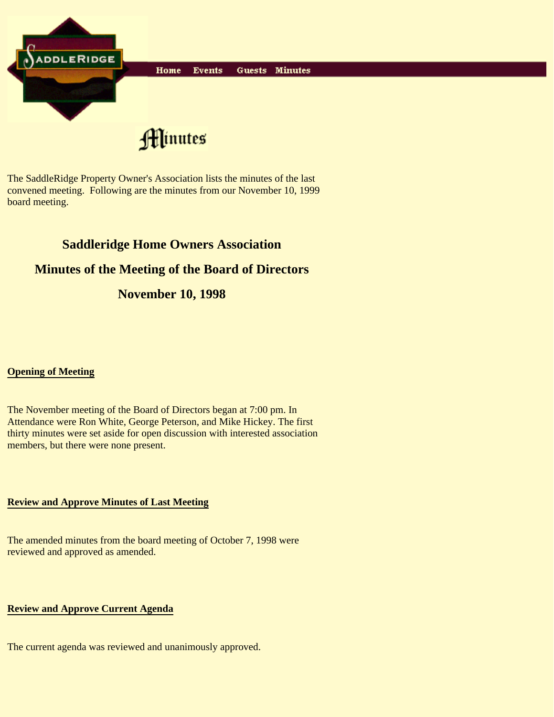

The SaddleRidge Property Owner's Association lists the minutes of the last convened meeting. Following are the minutes from our November 10, 1999 board meeting.

# **Saddleridge Home Owners Association**

## **Minutes of the Meeting of the Board of Directors**

## **November 10, 1998**

#### **Opening of Meeting**

The November meeting of the Board of Directors began at 7:00 pm. In Attendance were Ron White, George Peterson, and Mike Hickey. The first thirty minutes were set aside for open discussion with interested association members, but there were none present.

#### **Review and Approve Minutes of Last Meeting**

The amended minutes from the board meeting of October 7, 1998 were reviewed and approved as amended.

#### **Review and Approve Current Agenda**

The current agenda was reviewed and unanimously approved.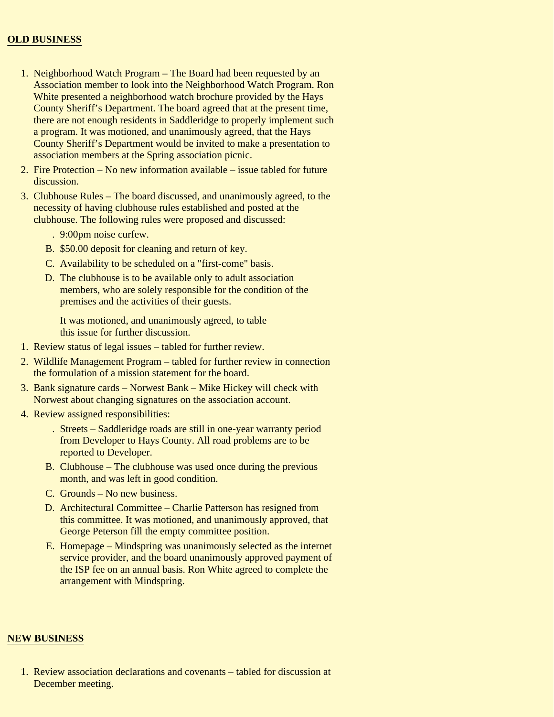#### **OLD BUSINESS**

- 1. Neighborhood Watch Program The Board had been requested by an Association member to look into the Neighborhood Watch Program. Ron White presented a neighborhood watch brochure provided by the Hays County Sheriff's Department. The board agreed that at the present time, there are not enough residents in Saddleridge to properly implement such a program. It was motioned, and unanimously agreed, that the Hays County Sheriff's Department would be invited to make a presentation to association members at the Spring association picnic.
- 2. Fire Protection No new information available issue tabled for future discussion.
- Clubhouse Rules The board discussed, and unanimously agreed, to the 3. necessity of having clubhouse rules established and posted at the clubhouse. The following rules were proposed and discussed:
	- . 9:00pm noise curfew.
	- B. \$50.00 deposit for cleaning and return of key.
	- C. Availability to be scheduled on a "first-come" basis.
	- D. The clubhouse is to be available only to adult association members, who are solely responsible for the condition of the premises and the activities of their guests.

It was motioned, and unanimously agreed, to table this issue for further discussion.

- 1. Review status of legal issues tabled for further review.
- 2. Wildlife Management Program tabled for further review in connection the formulation of a mission statement for the board.
- 3. Bank signature cards Norwest Bank Mike Hickey will check with Norwest about changing signatures on the association account.
- 4. Review assigned responsibilities:
	- Streets Saddleridge roads are still in one-year warranty period . from Developer to Hays County. All road problems are to be reported to Developer.
	- B. Clubhouse The clubhouse was used once during the previous month, and was left in good condition.
	- C. Grounds No new business.
	- D. Architectural Committee Charlie Patterson has resigned from this committee. It was motioned, and unanimously approved, that George Peterson fill the empty committee position.
	- E. Homepage Mindspring was unanimously selected as the internet service provider, and the board unanimously approved payment of the ISP fee on an annual basis. Ron White agreed to complete the arrangement with Mindspring.

#### **NEW BUSINESS**

1. Review association declarations and covenants – tabled for discussion at December meeting.